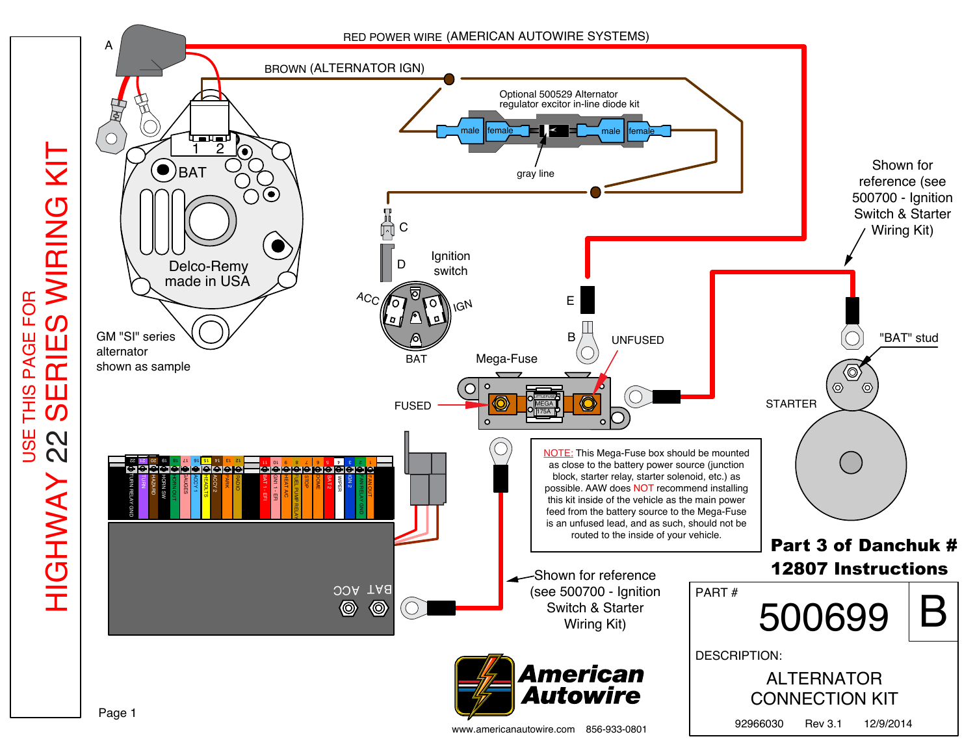

USE THIS PAGE FOR

**USE** 

THIS PAGE FOR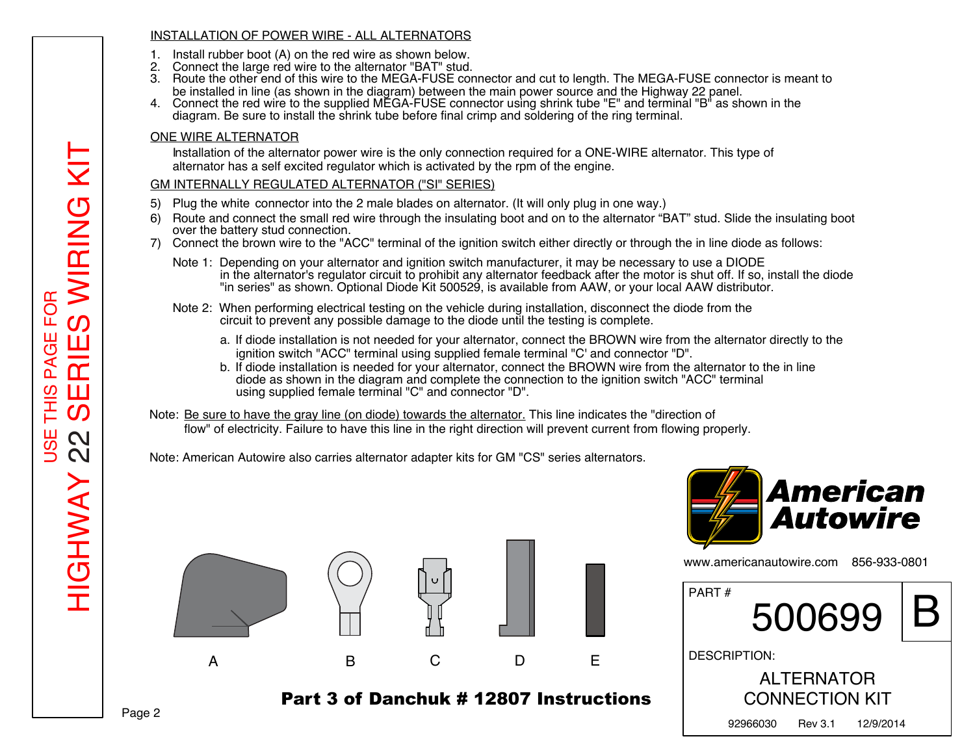## INSTALLATION OF POWER WIRE - ALL ALTERNATORS

- 1. Install rubber boot (A) on the red wire as shown below.
- 2. Connect the large red wire to the alternator "BAT" stud.
- 3. Route the other end of this wire to the MEGA-FUSE connector and cut to length. The MEGA-FUSE connector is meant to be installed in line (as shown in the diagram) between the main power source and the Highway 22 panel.
- 4. Connect the red wire to the supplied MEGA-FUSE connector using shrink tube "E" and terminal "B" as shown in the diagram. Be sure to install the shrink tube before final crimp and soldering of the ring terminal.

# ONE WIRE ALTERNATOR

Installation of the alternator power wire is the only connection required for a ONE-WIRE alternator. This type of alternator has a self excited regulator which is activated by the rpm of the engine.

# GM INTERNALLY REGULATED ALTERNATOR ("SI" SERIES)

- 5) Plug the white connector into the 2 male blades on alternator. (It will only plug in one way.)
- 6) Route and connect the small red wire through the insulating boot and on to the alternator "BAT" stud. Slide the insulating boot over the battery stud connection.
- 7) Connect the brown wire to the "ACC" terminal of the ignition switch either directly or through the in line diode as follows:
	- Note 1: Depending on your alternator and ignition switch manufacturer, it may be necessary to use a DIODE in the alternator's regulator circuit to prohibit any alternator feedback after the motor is shut off. If so, install the diode "in series" as shown. Optional Diode Kit 500529, is available from AAW, or your local AAW distributor.
	- Note 2: When performing electrical testing on the vehicle during installation, disconnect the diode from the circuit to prevent any possible damage to the diode until the testing is complete.
		- a. If diode installation is not needed for your alternator, connect the BROWN wire from the alternator directly to the ignition switch "ACC" terminal using supplied female terminal "C' and connector "D".
		- b. If diode installation is needed for your alternator, connect the BROWN wire from the alternator to the in line diode as shown in the diagram and complete the connection to the ignition switch "ACC" terminal using supplied female terminal "C" and connector "D".

Note: Be sure to have the gray line (on diode) towards the alternator. This line indicates the "direction of flow" of electricity. Failure to have this line in the right direction will prevent current from flowing properly.

Note: American Autowire also carries alternator adapter kits for GM "CS" series alternators.



# Part 3 of Danchuk # 12807 Instructions



www.americanautowire.com 856-933-0801

| PART#                                      | 500699  |           |  |  |  |
|--------------------------------------------|---------|-----------|--|--|--|
| <b>DESCRIPTION:</b>                        |         |           |  |  |  |
| <b>ALTERNATOR</b><br><b>CONNECTION KIT</b> |         |           |  |  |  |
| 92966030                                   | Rev 3.1 | 12/9/2014 |  |  |  |

HIGHWAY 22 SERIES WIRING KIT WIRING **FOR** USE THIS PAGE FOR  $\Omega$ ш Ш  $\overline{\sigma}$ ₹  $\mathsf{r}$  $\Omega$ Ш ၯ 三十  $\mathbfcal$  $\mathbf{\Omega}$ စြ  $\mathbf{\Omega}$ **HIGHWAY** 

<u>ТIX</u>

Page 2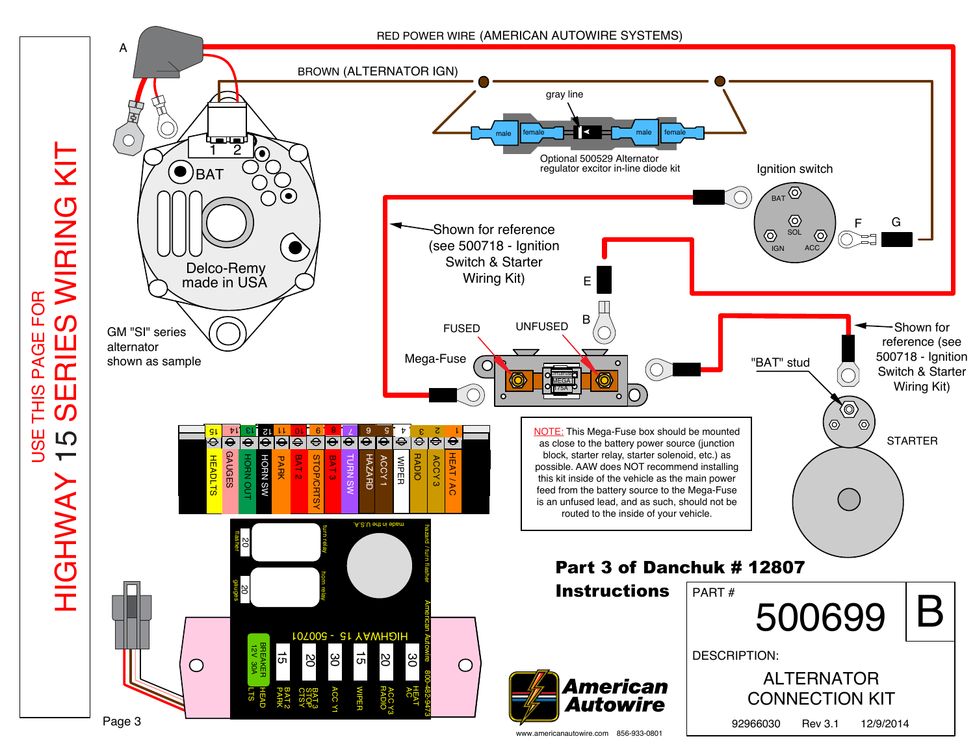

HIGHWAY 15 SERIES WIRING KIT WIRING KIT FOR USE THIS PAGE FOR  $\Omega$  $\mathbf{u}$ Ш PAGI  $\overline{\widetilde{\mathsf{T}}}$ **THIS** Ш  $\bm{C}$ <u>또</u> LO  $\blacksquare$ HIGHWAY